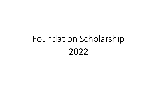# Foundation Scholarship 2022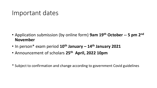#### Important dates

- Application submission (by online form) **9am 19th October -- 5 pm 2nd November**
- In person\* exam period **10th January – 14th January 2021**
- Announcement of scholars **25th April, 2022 10pm**
- \* Subject to confirmation and change according to government Covid guidelines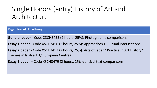# Single Honors (entry) History of Art and Architecture

**Regardless of SF pathway**

**General paper** - Code XSCH3455 (2 hours, 25%): Photographic comparisons

**Essay 1 paper** - Code XSCH3456 (2 hours, 25%): Approaches + Cultural intersections

**Essay 2 paper** - Code XSCH3457 (2 hours, 25%): Arts of Japan/ Practice in Art History/ Themes in Irish art 1/ European Centres

**Essay 3 paper** – Code XSCH3479 (2 hours, 25%): critical text comparisons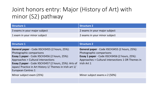#### Joint honors entry: Major (History of Art) with minor (S2) pathway

| Structure 1                   | Structure 2                   |
|-------------------------------|-------------------------------|
| 3 exams in your major subject | 2 exams in your major subject |
| 1 exam in your minor subject  | 2 exams in your minor subject |

| Structure 1                                                                                                                                                                                                                                                                                                                | <b>Structure 2</b>                                                                                                                                                                                            |
|----------------------------------------------------------------------------------------------------------------------------------------------------------------------------------------------------------------------------------------------------------------------------------------------------------------------------|---------------------------------------------------------------------------------------------------------------------------------------------------------------------------------------------------------------|
| <b>General paper</b> - Code XSCH3455 (2 hours, 25%):<br>Photographic comparisons<br>Essay 1 paper - Code XSCH3456 (2 hours, 25%):<br>Approaches + Cultural intersections<br>Essay 2 paper - Code XSCH3457 (2 hours, 25%): Arts of<br>Japan/ Practice in Art History 1/ Themes in Irish art 1/<br><b>European Centres 1</b> | <b>General paper</b> - Code XSCH3455 (2 hours, 25%):<br>Photographic comparisons<br><b>Essay 1 paper</b> - Code XSCH3456 (2 hours, 25%):<br>Approaches + Cultural intersections 1 OR Themes in<br>Irish Art 1 |
| Minor subject exam (25%)                                                                                                                                                                                                                                                                                                   | Minor subject exams x 2 (50%)                                                                                                                                                                                 |
|                                                                                                                                                                                                                                                                                                                            |                                                                                                                                                                                                               |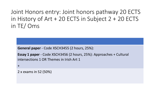Joint Honors entry: Joint honors pathway 20 ECTS in History of Art + 20 ECTS in Subject 2 + 20 ECTS in TE/ Oms

**General paper** - Code XSCH3455 (2 hours, 25%):

```
Essay 1 paper - Code XSCH3456 (2 hours, 25%): Approaches + Cultural 
intersections 1 OR Themes in Irish Art 1
```
+

2 x exams in S2 (50%)

• **Minor subject exams x 2 (50%)**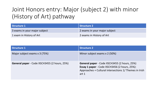#### Joint Honors entry: Major (subject 2) with minor (History of Art) pathway

| Structure 1                   | Structure 2                   |
|-------------------------------|-------------------------------|
| 3 exams in your major subject | 2 exams in your major subject |
| 1 exam in History of Art      | 2 exams in History of Art     |

| <b>Structure 1</b>                                  | <b>Structure 2</b>                                                                                                                                                      |
|-----------------------------------------------------|-------------------------------------------------------------------------------------------------------------------------------------------------------------------------|
| Major subject exams x 3 (75%)                       | Minor subject exams x 2 (50%)                                                                                                                                           |
| <b>General paper</b> - Code XSCH3455 (2 hours, 25%) | <b>General paper</b> - Code XSCH3455 (2 hours, 25%)<br>Essay 1 paper - Code XSCH3456 (2 hours, 25%):<br>Approaches + Cultural intersections 1/ Themes in Irish<br>art 1 |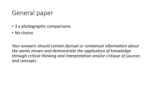# General paper

- 3 x photographic comparisons
- No choice

*Your answers should contain factual or contextual information about the works shown and demonstrate the application of knowledge through critical thinking and interpretation and/or critique of sources and concepts*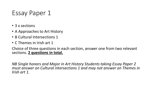### Essay Paper 1

- 3 x sections
- A Approaches to Art History
- B Cultural Intersections 1
- C Themes in Irish art 1

Choice of three questions in each section, answer one from two relevant sections. **2 questions in total.**

*NB Single honors and Major in Art History Students taking Essay Paper 2 must answer on Cultural intersections 1 and may not answer on Themes in Irish art 1.*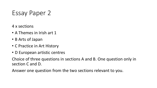Essay Paper 2

- 4 x sections
- A Themes in Irish art 1
- B Arts of Japan
- C Practice in Art History
- D European artistic centres

Choice of three questions in sections A and B. One question only in section C and D.

Answer one question from the two sections relevant to you.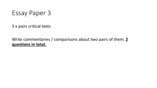Essay Paper 3

3 x pairs critical texts

#### Write commentaries / comparisons about two pairs of them. **2 questions in total.**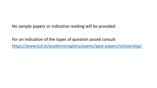No sample papers or indicative reading will be provided.

For an indication of the types of question posed consult <https://www.tcd.ie/academicregistry/exams/past-papers/scholarship/>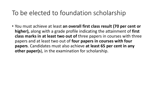#### To be elected to foundation scholarship

• You must achieve at least **an overall first class result (70 per cent or higher),** along with a grade profile indicating the attainment of **first class marks in at least two out of** three papers in courses with three papers and at least two out of **four papers in courses with four papers**. Candidates must also achieve **at least 65 per cent in any other paper(s**), in the examination for scholarship.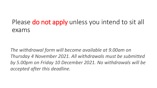# Please do not apply unless you intend to sit all exams

*The withdrawal form will become available at 9.00am on Thursday 4 November 2021. All withdrawals must be submitted by 5.00pm on Friday 10 December 2021. No withdrawals will be accepted after this deadline.*